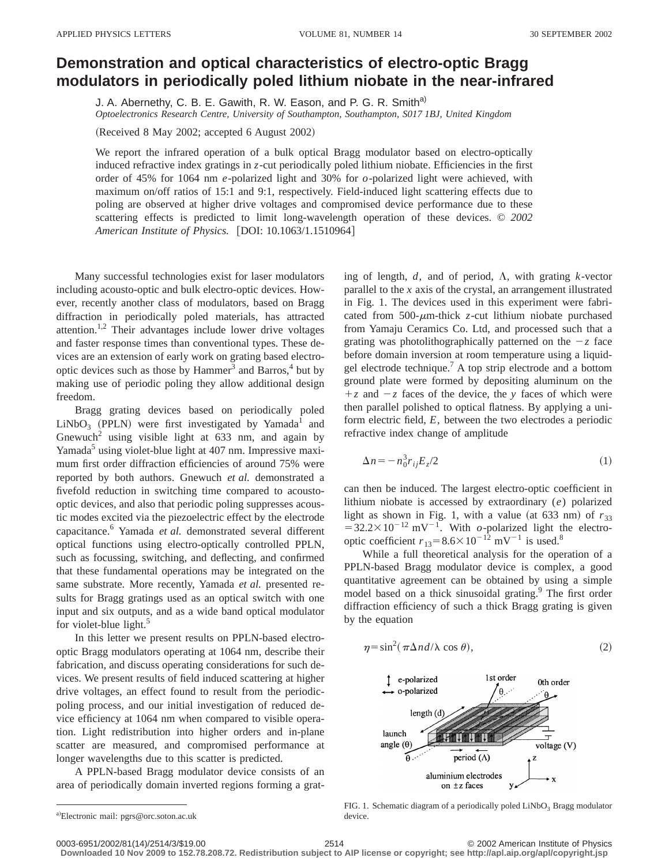## **Demonstration and optical characteristics of electro-optic Bragg modulators in periodically poled lithium niobate in the near-infrared**

J. A. Abernethy, C. B. E. Gawith, R. W. Eason, and P. G. R. Smith<sup>a)</sup>

*Optoelectronics Research Centre, University of Southampton, Southampton, S017 1BJ, United Kingdom*

(Received 8 May 2002; accepted 6 August 2002)

We report the infrared operation of a bulk optical Bragg modulator based on electro-optically induced refractive index gratings in *z*-cut periodically poled lithium niobate. Efficiencies in the first order of 45% for 1064 nm *e*-polarized light and 30% for *o*-polarized light were achieved, with maximum on/off ratios of 15:1 and 9:1, respectively. Field-induced light scattering effects due to poling are observed at higher drive voltages and compromised device performance due to these scattering effects is predicted to limit long-wavelength operation of these devices. © *2002 American Institute of Physics.* [DOI: 10.1063/1.1510964]

Many successful technologies exist for laser modulators including acousto-optic and bulk electro-optic devices. However, recently another class of modulators, based on Bragg diffraction in periodically poled materials, has attracted attention.1,2 Their advantages include lower drive voltages and faster response times than conventional types. These devices are an extension of early work on grating based electrooptic devices such as those by  $\text{Hammer}^3$  and Barros,<sup>4</sup> but by making use of periodic poling they allow additional design freedom.

Bragg grating devices based on periodically poled  $LiNbO<sub>3</sub>$  (PPLN) were first investigated by Yamada<sup>1</sup> and Gnewuch<sup>2</sup> using visible light at  $633$  nm, and again by Yamada<sup>5</sup> using violet-blue light at 407 nm. Impressive maximum first order diffraction efficiencies of around 75% were reported by both authors. Gnewuch *et al.* demonstrated a fivefold reduction in switching time compared to acoustooptic devices, and also that periodic poling suppresses acoustic modes excited via the piezoelectric effect by the electrode capacitance.6 Yamada *et al.* demonstrated several different optical functions using electro-optically controlled PPLN, such as focussing, switching, and deflecting, and confirmed that these fundamental operations may be integrated on the same substrate. More recently, Yamada *et al.* presented results for Bragg gratings used as an optical switch with one input and six outputs, and as a wide band optical modulator for violet-blue light. $5$ 

In this letter we present results on PPLN-based electrooptic Bragg modulators operating at 1064 nm, describe their fabrication, and discuss operating considerations for such devices. We present results of field induced scattering at higher drive voltages, an effect found to result from the periodicpoling process, and our initial investigation of reduced device efficiency at 1064 nm when compared to visible operation. Light redistribution into higher orders and in-plane scatter are measured, and compromised performance at longer wavelengths due to this scatter is predicted.

A PPLN-based Bragg modulator device consists of an area of periodically domain inverted regions forming a grating of length,  $d$ , and of period,  $\Lambda$ , with grating  $k$ -vector parallel to the *x* axis of the crystal, an arrangement illustrated in Fig. 1. The devices used in this experiment were fabricated from 500- $\mu$ m-thick *z*-cut lithium niobate purchased from Yamaju Ceramics Co. Ltd, and processed such that a grating was photolithographically patterned on the  $-z$  face before domain inversion at room temperature using a liquidgel electrode technique.<sup>7</sup> A top strip electrode and a bottom ground plate were formed by depositing aluminum on the  $+z$  and  $-z$  faces of the device, the *y* faces of which were then parallel polished to optical flatness. By applying a uniform electric field, *E*, between the two electrodes a periodic refractive index change of amplitude

$$
\Delta n = -n_0^3 r_{ij} E_z / 2 \tag{1}
$$

can then be induced. The largest electro-optic coefficient in lithium niobate is accessed by extraordinary (*e*) polarized light as shown in Fig. 1, with a value (at 633 nm) of  $r_{33}$  $=32.2\times10^{-12}$  mV<sup>-1</sup>. With *o*-polarized light the electrooptic coefficient  $r_{13} = 8.6 \times 10^{-12}$  mV<sup>-1</sup> is used.<sup>8</sup>

While a full theoretical analysis for the operation of a PPLN-based Bragg modulator device is complex, a good quantitative agreement can be obtained by using a simple model based on a thick sinusoidal grating.<sup>9</sup> The first order diffraction efficiency of such a thick Bragg grating is given by the equation

$$
\eta = \sin^2(\pi \Delta n \, d/\lambda \, \cos \theta),\tag{2}
$$



FIG. 1. Schematic diagram of a periodically poled  $LiNbO<sub>3</sub>$  Bragg modulator device.

**Downloaded 10 Nov 2009 to 152.78.208.72. Redistribution subject to AIP license or copyright; see http://apl.aip.org/apl/copyright.jsp**

a)Electronic mail: pgrs@orc.soton.ac.uk

<sup>0003-6951/2002/81(14)/2514/3/\$19.00 © 2002</sup> American Institute of Physics 2514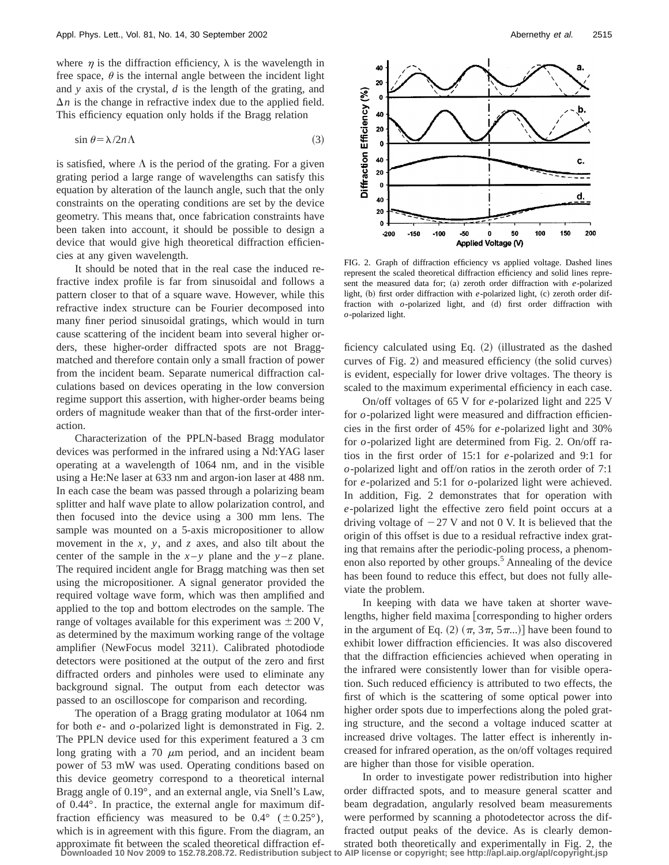where  $\eta$  is the diffraction efficiency,  $\lambda$  is the wavelength in free space,  $\theta$  is the internal angle between the incident light and *y* axis of the crystal, *d* is the length of the grating, and  $\Delta n$  is the change in refractive index due to the applied field. This efficiency equation only holds if the Bragg relation

$$
\sin \theta = \lambda / 2n \Lambda \tag{3}
$$

is satisfied, where  $\Lambda$  is the period of the grating. For a given grating period a large range of wavelengths can satisfy this equation by alteration of the launch angle, such that the only constraints on the operating conditions are set by the device geometry. This means that, once fabrication constraints have been taken into account, it should be possible to design a device that would give high theoretical diffraction efficiencies at any given wavelength.

It should be noted that in the real case the induced refractive index profile is far from sinusoidal and follows a pattern closer to that of a square wave. However, while this refractive index structure can be Fourier decomposed into many finer period sinusoidal gratings, which would in turn cause scattering of the incident beam into several higher orders, these higher-order diffracted spots are not Braggmatched and therefore contain only a small fraction of power from the incident beam. Separate numerical diffraction calculations based on devices operating in the low conversion regime support this assertion, with higher-order beams being orders of magnitude weaker than that of the first-order interaction.

Characterization of the PPLN-based Bragg modulator devices was performed in the infrared using a Nd:YAG laser operating at a wavelength of 1064 nm, and in the visible using a He:Ne laser at 633 nm and argon-ion laser at 488 nm. In each case the beam was passed through a polarizing beam splitter and half wave plate to allow polarization control, and then focused into the device using a 300 mm lens. The sample was mounted on a 5-axis micropositioner to allow movement in the *x*, *y*, and *z* axes, and also tilt about the center of the sample in the  $x-y$  plane and the  $y-z$  plane. The required incident angle for Bragg matching was then set using the micropositioner. A signal generator provided the required voltage wave form, which was then amplified and applied to the top and bottom electrodes on the sample. The range of voltages available for this experiment was  $\pm 200$  V, as determined by the maximum working range of the voltage amplifier (NewFocus model 3211). Calibrated photodiode detectors were positioned at the output of the zero and first diffracted orders and pinholes were used to eliminate any background signal. The output from each detector was passed to an oscilloscope for comparison and recording.

The operation of a Bragg grating modulator at 1064 nm for both *e*- and *o*-polarized light is demonstrated in Fig. 2. The PPLN device used for this experiment featured a 3 cm long grating with a 70  $\mu$ m period, and an incident beam power of 53 mW was used. Operating conditions based on this device geometry correspond to a theoretical internal Bragg angle of 0.19°, and an external angle, via Snell's Law, of 0.44°. In practice, the external angle for maximum diffraction efficiency was measured to be  $0.4^{\circ}$  ( $\pm 0.25^{\circ}$ ), which is in agreement with this figure. From the diagram, an approximate fit between the scaled theoretical diffraction ef-**Downloaded 10 Nov 2009 to 152.78.208.72. Redistribution subject to AIP license or copyright; see http://apl.aip.org/apl/copyright.jsp**



FIG. 2. Graph of diffraction efficiency vs applied voltage. Dashed lines represent the scaled theoretical diffraction efficiency and solid lines represent the measured data for; (a) zeroth order diffraction with *e*-polarized light, (b) first order diffraction with *e*-polarized light, (c) zeroth order diffraction with *o*-polarized light, and (d) first order diffraction with *o*-polarized light.

ficiency calculated using Eq.  $(2)$  (illustrated as the dashed curves of Fig. 2) and measured efficiency (the solid curves) is evident, especially for lower drive voltages. The theory is scaled to the maximum experimental efficiency in each case.

On/off voltages of 65 V for *e*-polarized light and 225 V for *o*-polarized light were measured and diffraction efficiencies in the first order of 45% for *e*-polarized light and 30% for *o*-polarized light are determined from Fig. 2. On/off ratios in the first order of 15:1 for *e*-polarized and 9:1 for *o*-polarized light and off/on ratios in the zeroth order of 7:1 for *e*-polarized and 5:1 for *o*-polarized light were achieved. In addition, Fig. 2 demonstrates that for operation with *e*-polarized light the effective zero field point occurs at a driving voltage of  $-27$  V and not 0 V. It is believed that the origin of this offset is due to a residual refractive index grating that remains after the periodic-poling process, a phenomenon also reported by other groups.<sup>5</sup> Annealing of the device has been found to reduce this effect, but does not fully alleviate the problem.

In keeping with data we have taken at shorter wavelengths, higher field maxima corresponding to higher orders in the argument of Eq. (2)  $(\pi, 3\pi, 5\pi...)$  have been found to exhibit lower diffraction efficiencies. It was also discovered that the diffraction efficiencies achieved when operating in the infrared were consistently lower than for visible operation. Such reduced efficiency is attributed to two effects, the first of which is the scattering of some optical power into higher order spots due to imperfections along the poled grating structure, and the second a voltage induced scatter at increased drive voltages. The latter effect is inherently increased for infrared operation, as the on/off voltages required are higher than those for visible operation.

In order to investigate power redistribution into higher order diffracted spots, and to measure general scatter and beam degradation, angularly resolved beam measurements were performed by scanning a photodetector across the diffracted output peaks of the device. As is clearly demonstrated both theoretically and experimentally in Fig. 2, the